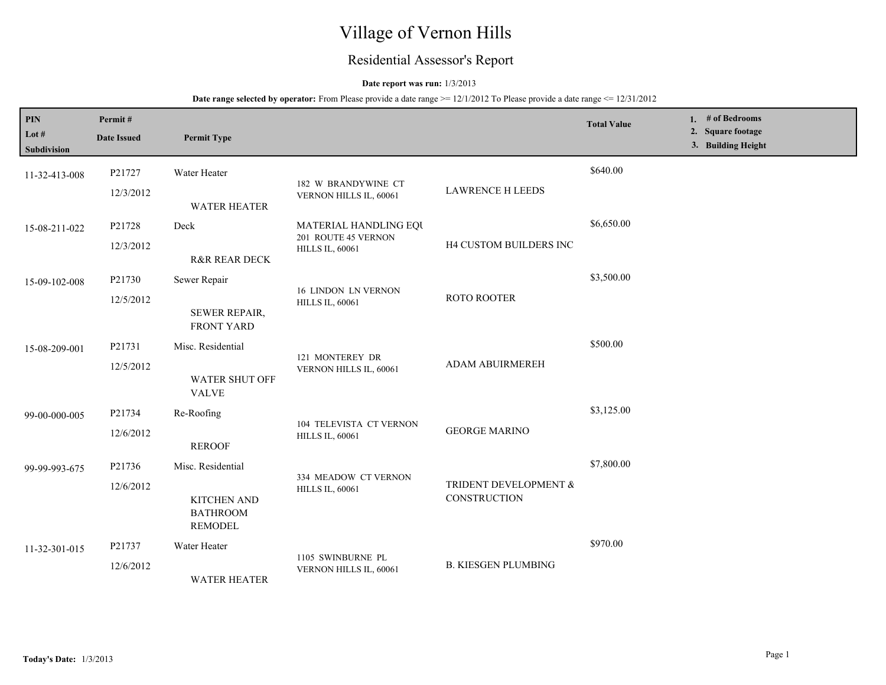# Village of Vernon Hills

## Residential Assessor's Report

#### **Date report was run:** 1/3/2013

**Date range selected by operator:** From Please provide a date range  $\ge$  = 12/1/2012 To Please provide a date range  $\le$  12/31/2012

| PIN<br>Lot $#$<br>Subdivision | Permit#<br><b>Date Issued</b> | <b>Permit Type</b>                                                           |                                                                        |                                       | <b>Total Value</b> | 1. # of Bedrooms<br>2. Square footage<br>3. Building Height |
|-------------------------------|-------------------------------|------------------------------------------------------------------------------|------------------------------------------------------------------------|---------------------------------------|--------------------|-------------------------------------------------------------|
| 11-32-413-008                 | P21727<br>12/3/2012           | Water Heater<br><b>WATER HEATER</b>                                          | 182 W BRANDYWINE CT<br>VERNON HILLS IL, 60061                          | <b>LAWRENCE H LEEDS</b>               | \$640.00           |                                                             |
| 15-08-211-022                 | P21728<br>12/3/2012           | Deck<br><b>R&amp;R REAR DECK</b>                                             | MATERIAL HANDLING EQU<br>201 ROUTE 45 VERNON<br><b>HILLS IL, 60061</b> | H4 CUSTOM BUILDERS INC                | \$6,650.00         |                                                             |
| 15-09-102-008                 | P21730<br>12/5/2012           | Sewer Repair<br>SEWER REPAIR,<br><b>FRONT YARD</b>                           | <b>16 LINDON LN VERNON</b><br><b>HILLS IL, 60061</b>                   | ROTO ROOTER                           | \$3,500.00         |                                                             |
| 15-08-209-001                 | P21731<br>12/5/2012           | Misc. Residential<br><b>WATER SHUT OFF</b><br><b>VALVE</b>                   | 121 MONTEREY DR<br>VERNON HILLS IL, 60061                              | ADAM ABUIRMEREH                       | \$500.00           |                                                             |
| 99-00-000-005                 | P21734<br>12/6/2012           | Re-Roofing<br><b>REROOF</b>                                                  | 104 TELEVISTA CT VERNON<br><b>HILLS IL, 60061</b>                      | <b>GEORGE MARINO</b>                  | \$3,125.00         |                                                             |
| 99-99-993-675                 | P21736<br>12/6/2012           | Misc. Residential<br><b>KITCHEN AND</b><br><b>BATHROOM</b><br><b>REMODEL</b> | 334 MEADOW CT VERNON<br><b>HILLS IL, 60061</b>                         | TRIDENT DEVELOPMENT &<br>CONSTRUCTION | \$7,800.00         |                                                             |
| 11-32-301-015                 | P21737<br>12/6/2012           | Water Heater<br><b>WATER HEATER</b>                                          | 1105 SWINBURNE PL<br>VERNON HILLS IL, 60061                            | <b>B. KIESGEN PLUMBING</b>            | \$970.00           |                                                             |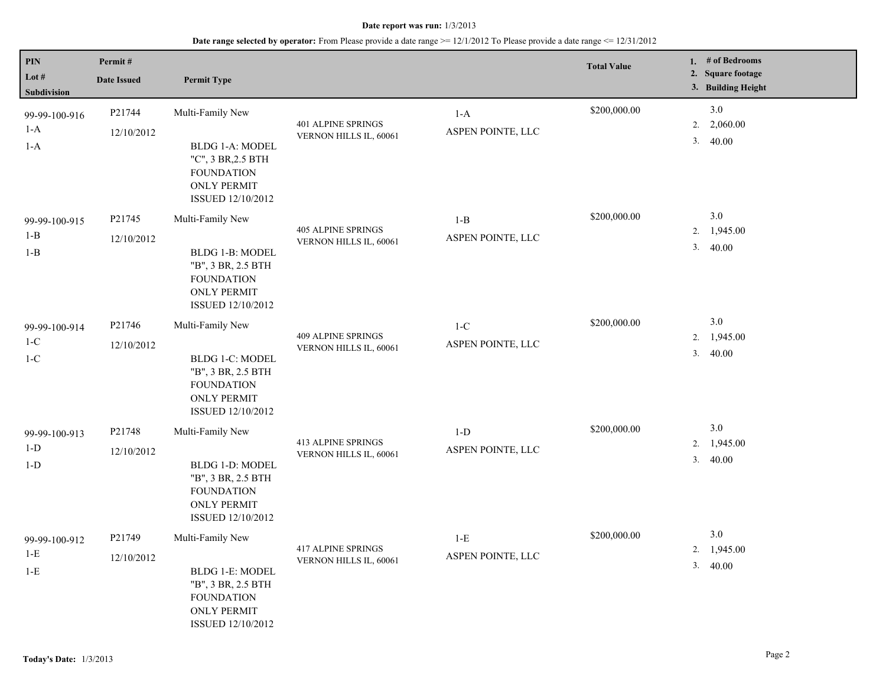## **Date range selected by operator:** From Please provide a date range >= 12/1/2012 To Please provide a date range <= 12/31/2012

| $\mathbf{PIN}$<br>Lot $#$<br>Subdivision | Permit#<br><b>Date Issued</b>    | <b>Permit Type</b>                                                                                                        |                                                     |                              | <b>Total Value</b> | 1. $#$ of Bedrooms<br>2. Square footage<br>3. Building Height |
|------------------------------------------|----------------------------------|---------------------------------------------------------------------------------------------------------------------------|-----------------------------------------------------|------------------------------|--------------------|---------------------------------------------------------------|
| 99-99-100-916<br>$1-A$<br>$1-A$          | P21744<br>12/10/2012             | Multi-Family New<br>BLDG 1-A: MODEL<br>"C", 3 BR, 2.5 BTH<br><b>FOUNDATION</b><br><b>ONLY PERMIT</b><br>ISSUED 12/10/2012 | 401 ALPINE SPRINGS<br>VERNON HILLS IL, 60061        | $1-A$<br>ASPEN POINTE, LLC   | \$200,000.00       | 3.0<br>2,060.00<br>2.<br>3.40.00                              |
| 99-99-100-915<br>$1 - B$<br>$1 - B$      | P21745<br>12/10/2012             | Multi-Family New<br>BLDG 1-B: MODEL<br>"B", 3 BR, 2.5 BTH<br><b>FOUNDATION</b><br><b>ONLY PERMIT</b><br>ISSUED 12/10/2012 | <b>405 ALPINE SPRINGS</b><br>VERNON HILLS IL, 60061 | $1 - B$<br>ASPEN POINTE, LLC | \$200,000.00       | $3.0\,$<br>2. 1,945.00<br>3.<br>40.00                         |
| 99-99-100-914<br>$1-C$<br>$1-C$          | P <sub>21746</sub><br>12/10/2012 | Multi-Family New<br>BLDG 1-C: MODEL<br>"B", 3 BR, 2.5 BTH<br><b>FOUNDATION</b><br><b>ONLY PERMIT</b><br>ISSUED 12/10/2012 | <b>409 ALPINE SPRINGS</b><br>VERNON HILLS IL, 60061 | $1-C$<br>ASPEN POINTE, LLC   | \$200,000.00       | 3.0<br>2. $1,945.00$<br>3.40.00                               |
| 99-99-100-913<br>$1-D$<br>$1-D$          | P21748<br>12/10/2012             | Multi-Family New<br>BLDG 1-D: MODEL<br>"B", 3 BR, 2.5 BTH<br><b>FOUNDATION</b><br><b>ONLY PERMIT</b><br>ISSUED 12/10/2012 | <b>413 ALPINE SPRINGS</b><br>VERNON HILLS IL, 60061 | $1-D$<br>ASPEN POINTE, LLC   | \$200,000.00       | 3.0<br>1,945.00<br>2.<br>3.40.00                              |
| 99-99-100-912<br>1-E<br>$1-E$            | P21749<br>12/10/2012             | Multi-Family New<br>BLDG 1-E: MODEL<br>"B", 3 BR, 2.5 BTH<br><b>FOUNDATION</b><br>ONLY PERMIT<br>ISSUED 12/10/2012        | <b>417 ALPINE SPRINGS</b><br>VERNON HILLS IL, 60061 | $1-E$<br>ASPEN POINTE, LLC   | \$200,000.00       | 3.0<br>1,945.00<br>2.<br>3.<br>40.00                          |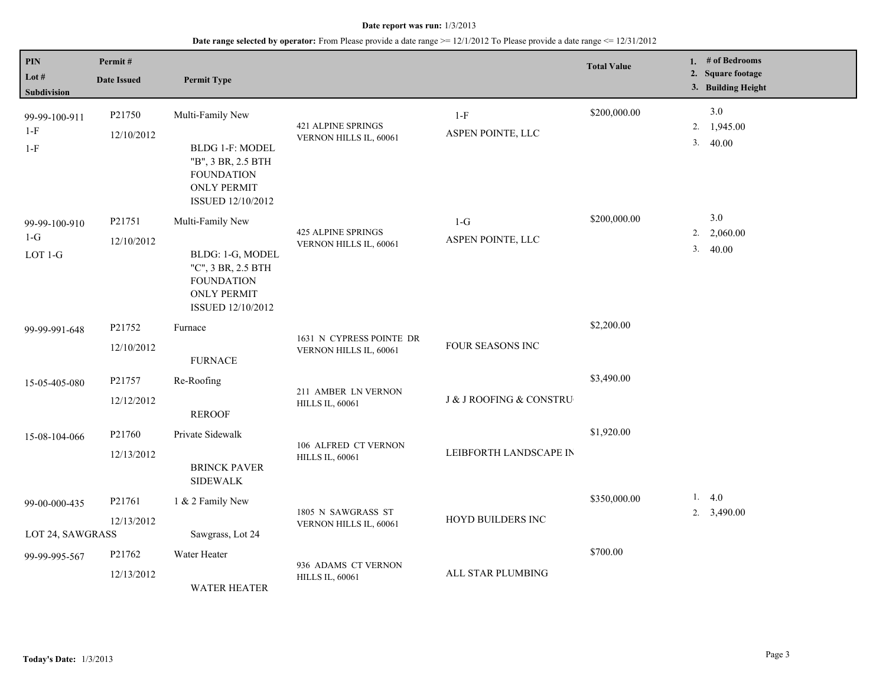## **Date range selected by operator:** From Please provide a date range >= 12/1/2012 To Please provide a date range <= 12/31/2012

| PIN<br>Lot $#$<br>Subdivision     | Permit#<br><b>Date Issued</b>     | <b>Permit Type</b>                                                                                                         |                                                     |                            | <b>Total Value</b> |          | 1. $#$ of Bedrooms<br>2. Square footage<br>3. Building Height |
|-----------------------------------|-----------------------------------|----------------------------------------------------------------------------------------------------------------------------|-----------------------------------------------------|----------------------------|--------------------|----------|---------------------------------------------------------------|
| 99-99-100-911<br>$1-F$<br>$1-F$   | P21750<br>12/10/2012              | Multi-Family New<br>BLDG 1-F: MODEL<br>"B", 3 BR, 2.5 BTH<br><b>FOUNDATION</b><br><b>ONLY PERMIT</b><br>ISSUED 12/10/2012  | 421 ALPINE SPRINGS<br>VERNON HILLS IL, 60061        | $1-F$<br>ASPEN POINTE, LLC | \$200,000.00       | 2.<br>3. | 3.0<br>1,945.00<br>40.00                                      |
| 99-99-100-910<br>$1-G$<br>LOT 1-G | P <sub>2</sub> 1751<br>12/10/2012 | Multi-Family New<br>BLDG: 1-G, MODEL<br>"C", 3 BR, 2.5 BTH<br><b>FOUNDATION</b><br><b>ONLY PERMIT</b><br>ISSUED 12/10/2012 | <b>425 ALPINE SPRINGS</b><br>VERNON HILLS IL, 60061 | $1-G$<br>ASPEN POINTE, LLC | \$200,000.00       | 2.<br>3. | 3.0<br>2,060.00<br>40.00                                      |
| 99-99-991-648                     | P21752<br>12/10/2012              | Furnace<br><b>FURNACE</b>                                                                                                  | 1631 N CYPRESS POINTE DR<br>VERNON HILLS IL, 60061  | FOUR SEASONS INC           | \$2,200.00         |          |                                                               |
| 15-05-405-080                     | P21757<br>12/12/2012              | Re-Roofing<br><b>REROOF</b>                                                                                                | 211 AMBER LN VERNON<br><b>HILLS IL, 60061</b>       | J & J ROOFING & CONSTRU    | \$3,490.00         |          |                                                               |
| 15-08-104-066                     | P21760<br>12/13/2012              | Private Sidewalk<br><b>BRINCK PAVER</b><br><b>SIDEWALK</b>                                                                 | 106 ALFRED CT VERNON<br><b>HILLS IL, 60061</b>      | LEIBFORTH LANDSCAPE IN     | \$1,920.00         |          |                                                               |
| 99-00-000-435                     | P21761<br>12/13/2012              | 1 & 2 Family New<br>Sawgrass, Lot 24                                                                                       | 1805 N SAWGRASS ST<br>VERNON HILLS IL, 60061        | HOYD BUILDERS INC          | \$350,000.00       | 1.<br>2. | 4.0<br>3,490.00                                               |
| LOT 24, SAWGRASS<br>99-99-995-567 | P21762<br>12/13/2012              | Water Heater<br><b>WATER HEATER</b>                                                                                        | 936 ADAMS CT VERNON<br><b>HILLS IL, 60061</b>       | ALL STAR PLUMBING          | \$700.00           |          |                                                               |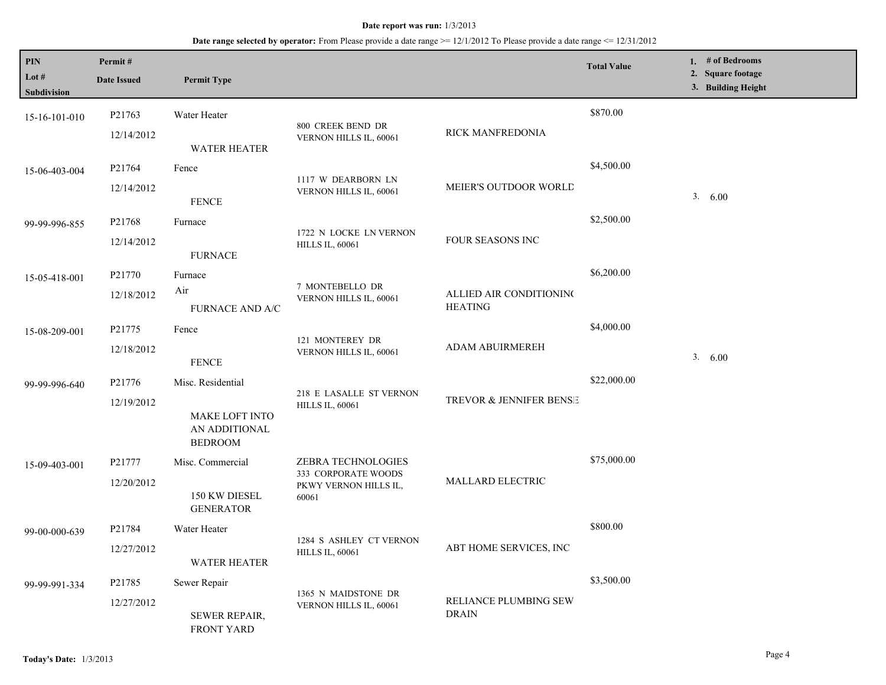### **Date range selected by operator:** From Please provide a date range  $\ge$  = 12/1/2012 To Please provide a date range <= 12/31/2012

| PIN<br>Lot $#$<br>Subdivision | Permit#<br><b>Date Issued</b> | <b>Permit Type</b>                                                     |                                                                             |                                           | <b>Total Value</b> |    | 1. # of Bedrooms<br>2. Square footage<br>3. Building Height |
|-------------------------------|-------------------------------|------------------------------------------------------------------------|-----------------------------------------------------------------------------|-------------------------------------------|--------------------|----|-------------------------------------------------------------|
| 15-16-101-010                 | P21763<br>12/14/2012          | Water Heater<br><b>WATER HEATER</b>                                    | 800 CREEK BEND DR<br>VERNON HILLS IL, 60061                                 | RICK MANFREDONIA                          | \$870.00           |    |                                                             |
| 15-06-403-004                 | P21764<br>12/14/2012          | Fence<br><b>FENCE</b>                                                  | 1117 W DEARBORN LN<br>VERNON HILLS IL, 60061                                | MEIER'S OUTDOOR WORLD                     | \$4,500.00         | 3. | 6.00                                                        |
| 99-99-996-855                 | P21768<br>12/14/2012          | Furnace<br><b>FURNACE</b>                                              | 1722 N LOCKE LN VERNON<br><b>HILLS IL, 60061</b>                            | FOUR SEASONS INC                          | \$2,500.00         |    |                                                             |
| 15-05-418-001                 | P21770<br>12/18/2012          | Furnace<br>Air<br><b>FURNACE AND A/C</b>                               | 7 MONTEBELLO DR<br>VERNON HILLS IL, 60061                                   | ALLIED AIR CONDITIONING<br><b>HEATING</b> | \$6,200.00         |    |                                                             |
| 15-08-209-001                 | P21775<br>12/18/2012          | Fence<br><b>FENCE</b>                                                  | 121 MONTEREY DR<br>VERNON HILLS IL, 60061                                   | <b>ADAM ABUIRMEREH</b>                    | \$4,000.00         | 3. | 6.00                                                        |
| 99-99-996-640                 | P21776<br>12/19/2012          | Misc. Residential<br>MAKE LOFT INTO<br>AN ADDITIONAL<br><b>BEDROOM</b> | 218 E LASALLE ST VERNON<br><b>HILLS IL, 60061</b>                           | TREVOR & JENNIFER BENSE                   | \$22,000.00        |    |                                                             |
| 15-09-403-001                 | P21777<br>12/20/2012          | Misc. Commercial<br>150 KW DIESEL<br><b>GENERATOR</b>                  | ZEBRA TECHNOLOGIES<br>333 CORPORATE WOODS<br>PKWY VERNON HILLS IL,<br>60061 | MALLARD ELECTRIC                          | \$75,000.00        |    |                                                             |
| 99-00-000-639                 | P21784<br>12/27/2012          | Water Heater<br><b>WATER HEATER</b>                                    | 1284 S ASHLEY CT VERNON<br><b>HILLS IL, 60061</b>                           | ABT HOME SERVICES, INC                    | \$800.00           |    |                                                             |
| 99-99-991-334                 | P21785<br>12/27/2012          | Sewer Repair<br>SEWER REPAIR,<br><b>FRONT YARD</b>                     | 1365 N MAIDSTONE DR<br>VERNON HILLS IL, 60061                               | RELIANCE PLUMBING SEW<br><b>DRAIN</b>     | \$3,500.00         |    |                                                             |